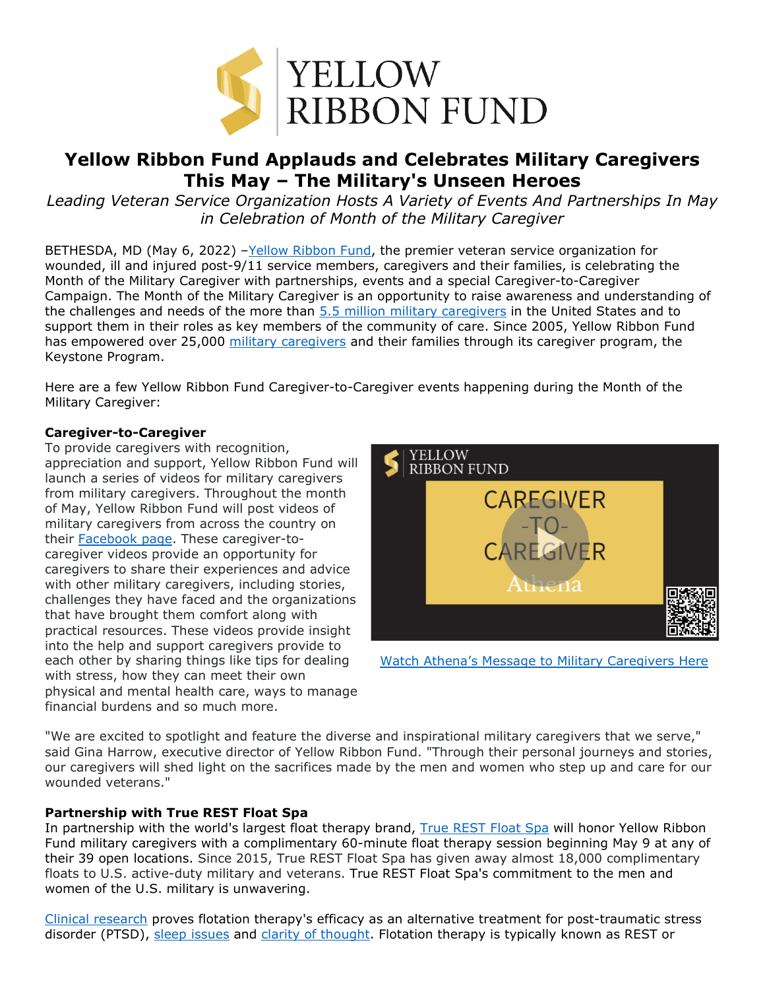

# **Yellow Ribbon Fund Applauds and Celebrates Military Caregivers This May – The Military's Unseen Heroes**

*Leading Veteran Service Organization Hosts A Variety of Events And Partnerships In May in Celebration of Month of the Military Caregiver*

BETHESDA, MD (May 6, 2022) -Yellow Ribbon Fund, the premier veteran service organization for wounded, ill and injured post-9/11 service members, caregivers and their families, is celebrating the Month of the Military Caregiver with partnerships, events and a special Caregiver-to-Caregiver Campaign. The Month of the Military Caregiver is an opportunity to raise awareness and understanding of the challenges and needs of the more than [5.5 million military caregivers](https://www.rand.org/pubs/research_briefs/RB9764.html#:%7E:text=RAND%20researchers%20estimate%20that%20there,in%20the%20United%20States%20today.) in the United States and to support them in their roles as key members of the community of care. Since 2005, Yellow Ribbon Fund has empowered over 25,000 [military caregivers](https://yellowribbonfund.org/programs/keystone-program/?utm_source=month+of+the+military+caregiver+release&utm_medium=press+release&utm_campaign=month+of+the+military+caregiver&utm_content=military+caregiver+keyword+hyperlink) and their families through its caregiver program, the Keystone Program.

Here are a few Yellow Ribbon Fund Caregiver-to-Caregiver events happening during the Month of the Military Caregiver:

## **Caregiver-to-Caregiver**

To provide caregivers with recognition, appreciation and support, Yellow Ribbon Fund will launch a series of videos for military caregivers from military caregivers. Throughout the month of May, Yellow Ribbon Fund will post videos of military caregivers from across the country on their [Facebook page.](https://www.facebook.com/YellowRibbonFund?utm_source=month+of+the+military+caregiver+release&utm_medium=press+release&utm_campaign=month+of+the+military+caregiver&utm_content=yellow+ribbon+fund+facebook+hyperlink) These caregiver-tocaregiver videos provide an opportunity for caregivers to share their experiences and advice with other military caregivers, including stories, challenges they have faced and the organizations that have brought them comfort along with practical resources. These videos provide insight into the help and support caregivers provide to each other by sharing things like tips for dealing with stress, how they can meet their own physical and mental health care, ways to manage financial burdens and so much more.



[Watch Athena's Message to Military Caregivers Here](https://vimeo.com/706782588)

"We are excited to spotlight and feature the diverse and inspirational military caregivers that we serve," said Gina Harrow, executive director of Yellow Ribbon Fund. "Through their personal journeys and stories, our caregivers will shed light on the sacrifices made by the men and women who step up and care for our wounded veterans."

## **Partnership with True REST Float Spa**

In partnership with the world's largest float therapy brand, [True REST Float Spa](http://www.truerest.com/) will honor Yellow Ribbon Fund military caregivers with a complimentary 60-minute float therapy session beginning May 9 at any of their 39 open locations. Since 2015, True REST Float Spa has given away almost 18,000 complimentary floats to U.S. active-duty military and veterans. True REST Float Spa's commitment to the men and women of the U.S. military is unwavering.

[Clinical research](https://www.naturalmedicinejournal.com/journal/floatation-therapy-specific-health-concerns) proves flotation therapy's efficacy as an alternative treatment for post-traumatic stress disorder (PTSD), [sleep issues](https://www.sciencedirect.com/science/article/abs/pii/S2211266916300147) and [clarity of thought.](https://www.researchgate.net/publication/325176720_What_is_the_Lived_Experience_of_Floatation-REST) Flotation therapy is typically known as REST or